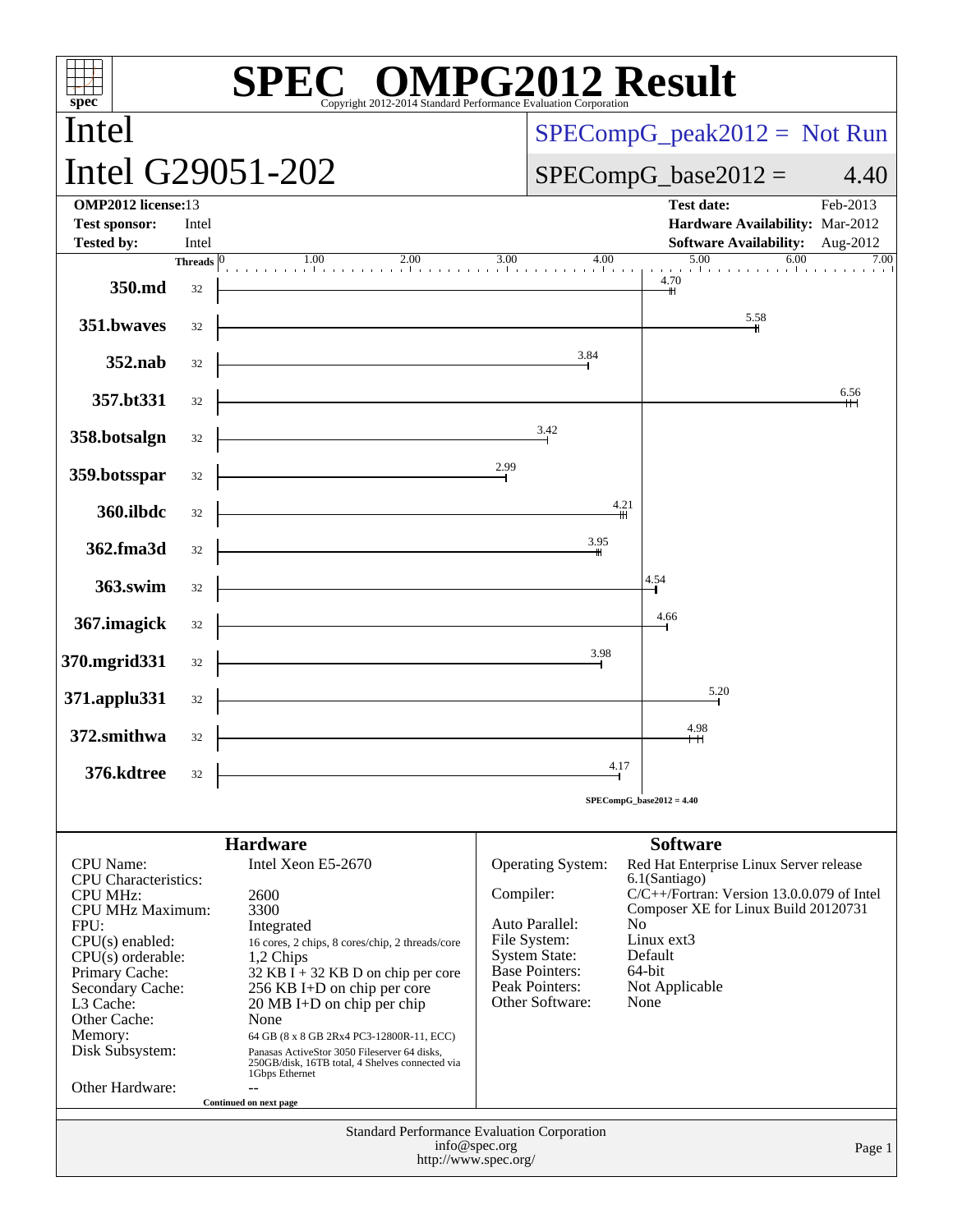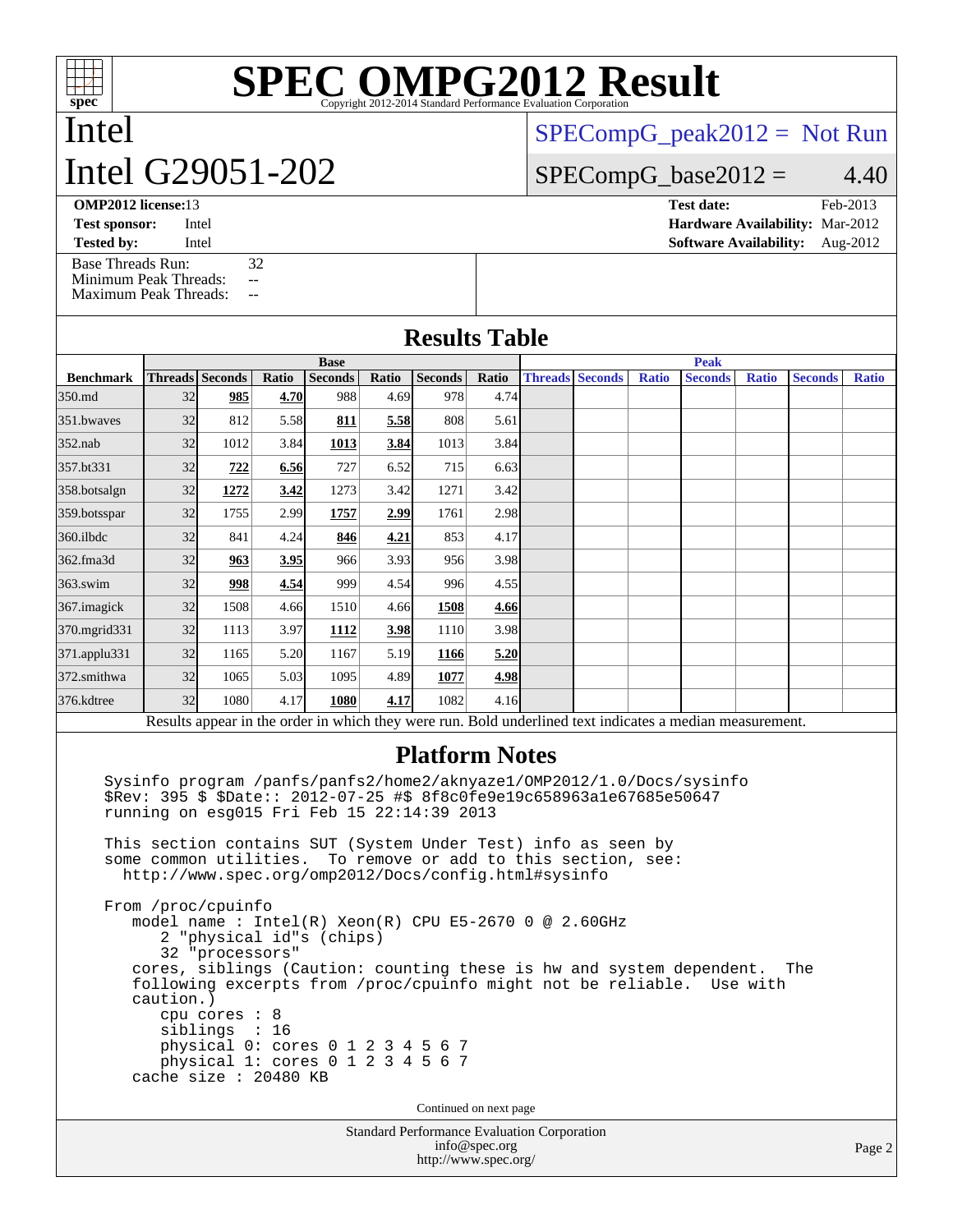# **[SPEC OMPG2012 Result](http://www.spec.org/auto/omp2012/Docs/result-fields.html#SPECOMPG2012Result)**

# Intel Intel G29051-202

[SPECompG\\_peak2012 =](http://www.spec.org/auto/omp2012/Docs/result-fields.html#SPECompGpeak2012) Not Run

### $SPECompG_base2012 = 4.40$  $SPECompG_base2012 = 4.40$

**[OMP2012 license:](http://www.spec.org/auto/omp2012/Docs/result-fields.html#OMP2012license)**13 **[Test date:](http://www.spec.org/auto/omp2012/Docs/result-fields.html#Testdate)** Feb-2013

**[Test sponsor:](http://www.spec.org/auto/omp2012/Docs/result-fields.html#Testsponsor)** Intel **[Hardware Availability:](http://www.spec.org/auto/omp2012/Docs/result-fields.html#HardwareAvailability)** Mar-2012 **[Tested by:](http://www.spec.org/auto/omp2012/Docs/result-fields.html#Testedby)** Intel **[Software Availability:](http://www.spec.org/auto/omp2012/Docs/result-fields.html#SoftwareAvailability)** Aug-2012

[Base Threads Run:](http://www.spec.org/auto/omp2012/Docs/result-fields.html#BaseThreadsRun) 32<br>Minimum Peak Threads: -- $Da<sub>2</sub>$  Th

| миниции Реак Тигеасия:<br><b>Maximum Peak Threads:</b><br>$\mathbf{u}$ |                                                                                             |                                                                                                                              |       |                |       |                                                                                                                                                                                                                                                                                                                  |       |             |                        |              |                                                                                                          |              |                |              |
|------------------------------------------------------------------------|---------------------------------------------------------------------------------------------|------------------------------------------------------------------------------------------------------------------------------|-------|----------------|-------|------------------------------------------------------------------------------------------------------------------------------------------------------------------------------------------------------------------------------------------------------------------------------------------------------------------|-------|-------------|------------------------|--------------|----------------------------------------------------------------------------------------------------------|--------------|----------------|--------------|
|                                                                        |                                                                                             |                                                                                                                              |       |                |       | <b>Results Table</b>                                                                                                                                                                                                                                                                                             |       |             |                        |              |                                                                                                          |              |                |              |
|                                                                        | <b>Base</b>                                                                                 |                                                                                                                              |       |                |       |                                                                                                                                                                                                                                                                                                                  |       | <b>Peak</b> |                        |              |                                                                                                          |              |                |              |
| <b>Benchmark</b>                                                       |                                                                                             | <b>Threads</b> Seconds                                                                                                       | Ratio | <b>Seconds</b> | Ratio | <b>Seconds</b>                                                                                                                                                                                                                                                                                                   | Ratio |             | <b>Threads Seconds</b> | <b>Ratio</b> | <b>Seconds</b>                                                                                           | <b>Ratio</b> | <b>Seconds</b> | <b>Ratio</b> |
| 350.md                                                                 | 32                                                                                          | 985                                                                                                                          | 4.70  | 988            | 4.69  | 978                                                                                                                                                                                                                                                                                                              | 4.74  |             |                        |              |                                                                                                          |              |                |              |
| 351.bwayes                                                             | 32                                                                                          | 812                                                                                                                          | 5.58  | 811            | 5.58  | 808                                                                                                                                                                                                                                                                                                              | 5.61  |             |                        |              |                                                                                                          |              |                |              |
| 352.nab                                                                | 32                                                                                          | 1012                                                                                                                         | 3.84  | 1013           | 3.84  | 1013                                                                                                                                                                                                                                                                                                             | 3.84  |             |                        |              |                                                                                                          |              |                |              |
| 357.bt331                                                              | 32                                                                                          | 722                                                                                                                          | 6.56  | 727            | 6.52  | 715                                                                                                                                                                                                                                                                                                              | 6.63  |             |                        |              |                                                                                                          |              |                |              |
| 358.botsalgn                                                           | 32                                                                                          | 1272                                                                                                                         | 3.42  | 1273           | 3.42  | 1271                                                                                                                                                                                                                                                                                                             | 3.42  |             |                        |              |                                                                                                          |              |                |              |
| 359.botsspar                                                           | 32                                                                                          | 1755                                                                                                                         | 2.99  | 1757           | 2.99  | 1761                                                                                                                                                                                                                                                                                                             | 2.98  |             |                        |              |                                                                                                          |              |                |              |
| 360.ilbdc                                                              | 32                                                                                          | 841                                                                                                                          | 4.24  | 846            | 4.21  | 853                                                                                                                                                                                                                                                                                                              | 4.17  |             |                        |              |                                                                                                          |              |                |              |
| 362.fma3d                                                              | 32                                                                                          | 963                                                                                                                          | 3.95  | 966            | 3.93  | 956                                                                                                                                                                                                                                                                                                              | 3.98  |             |                        |              |                                                                                                          |              |                |              |
| 363.swim                                                               | 32                                                                                          | 998                                                                                                                          | 4.54  | 999            | 4.54  | 996                                                                                                                                                                                                                                                                                                              | 4.55  |             |                        |              |                                                                                                          |              |                |              |
| 367. imagick                                                           | 32                                                                                          | 1508                                                                                                                         | 4.66  | 1510           | 4.66  | 1508                                                                                                                                                                                                                                                                                                             | 4.66  |             |                        |              |                                                                                                          |              |                |              |
| 370.mgrid331                                                           | 32                                                                                          | 1113                                                                                                                         | 3.97  | 1112           | 3.98  | 1110                                                                                                                                                                                                                                                                                                             | 3.98  |             |                        |              |                                                                                                          |              |                |              |
| 371.applu331                                                           | 32                                                                                          | 1165                                                                                                                         | 5.20  | 1167           | 5.19  | 1166                                                                                                                                                                                                                                                                                                             | 5.20  |             |                        |              |                                                                                                          |              |                |              |
| 372.smithwa                                                            | 32                                                                                          | 1065                                                                                                                         | 5.03  | 1095           | 4.89  | 1077                                                                                                                                                                                                                                                                                                             | 4.98  |             |                        |              |                                                                                                          |              |                |              |
| 376.kdtree                                                             | 32                                                                                          | 1080                                                                                                                         | 4.17  | 1080           | 4.17  | 1082                                                                                                                                                                                                                                                                                                             | 4.16  |             |                        |              |                                                                                                          |              |                |              |
|                                                                        |                                                                                             |                                                                                                                              |       |                |       |                                                                                                                                                                                                                                                                                                                  |       |             |                        |              | Results appear in the order in which they were run. Bold underlined text indicates a median measurement. |              |                |              |
|                                                                        |                                                                                             | some common utilities.                                                                                                       |       |                |       | <b>Platform Notes</b><br>\$Rev: 395 \$ \$Date:: 2012-07-25 #\$ 8f8c0fe9e19c658963a1e67685e50647<br>running on esg015 Fri Feb 15 22:14:39 2013<br>This section contains SUT (System Under Test) info as seen by<br>To remove or add to this section, see:<br>http://www.spec.org/omp2012/Docs/config.html#sysinfo |       |             |                        |              | Sysinfo program /panfs/panfs2/home2/aknyaze1/OMP2012/1.0/Docs/sysinfo                                    |              |                |              |
|                                                                        | caution.)                                                                                   | From /proc/cpuinfo<br>2 "physical id"s (chips)<br>32 "processors"<br>cpu cores : 8<br>siblings : 16<br>cache size : 20480 KB |       |                |       | model name : Intel(R) Xeon(R) CPU E5-2670 0 @ 2.60GHz<br>following excerpts from /proc/cpuinfo might not be reliable.<br>physical 0: cores 0 1 2 3 4 5 6 7<br>physical 1: cores 0 1 2 3 4 5 6 7<br>Continued on next page                                                                                        |       |             |                        |              | cores, siblings (Caution: counting these is hw and system dependent.                                     | Use with     | The            |              |
|                                                                        |                                                                                             |                                                                                                                              |       |                |       |                                                                                                                                                                                                                                                                                                                  |       |             |                        |              |                                                                                                          |              |                |              |
|                                                                        | <b>Standard Performance Evaluation Corporation</b><br>info@spec.org<br>http://www.spec.org/ |                                                                                                                              |       |                |       |                                                                                                                                                                                                                                                                                                                  |       |             |                        |              |                                                                                                          |              |                | Page         |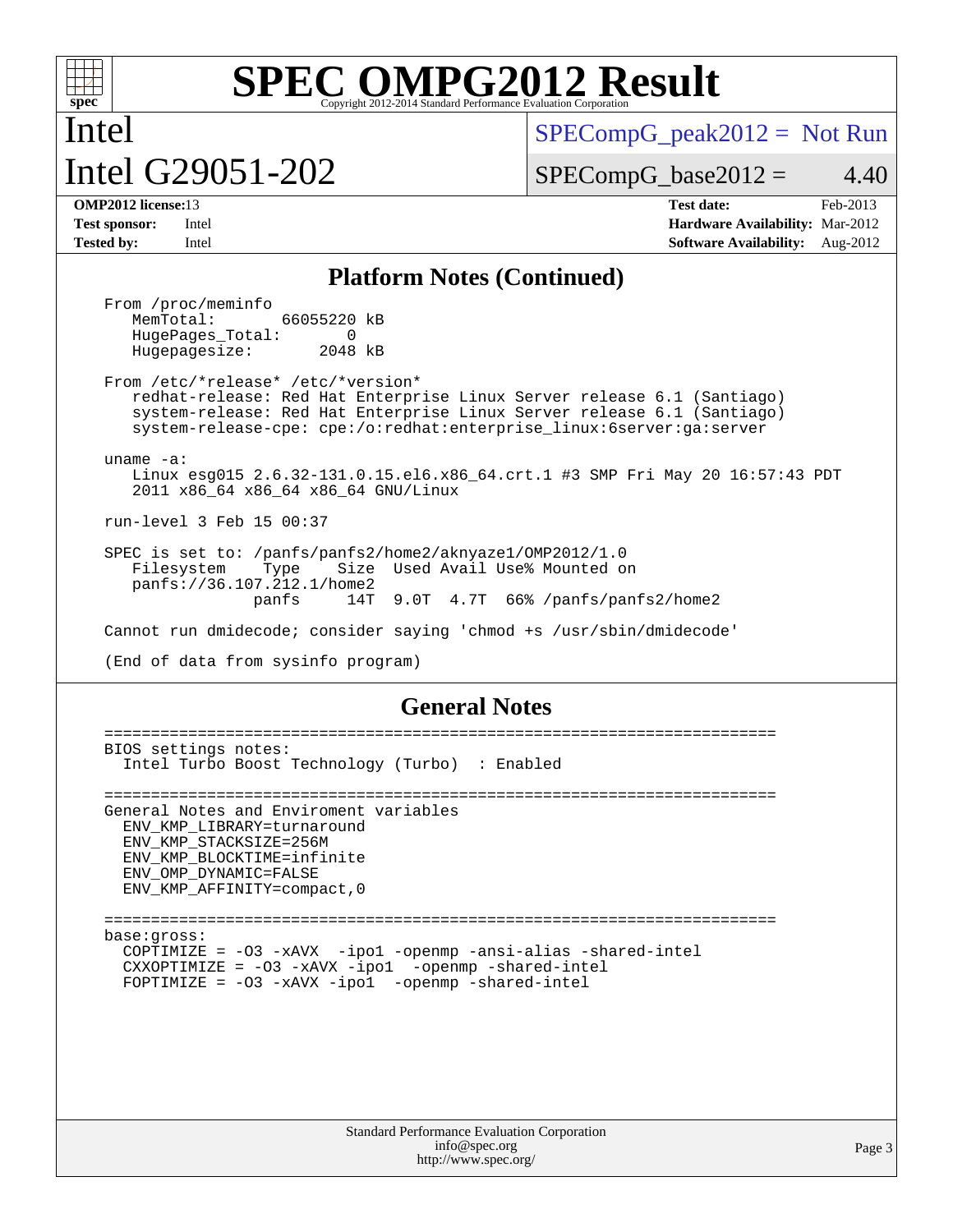

Intel

# **[SPEC OMPG2012 Result](http://www.spec.org/auto/omp2012/Docs/result-fields.html#SPECOMPG2012Result)**

# Intel G29051-202

 $SPECompG_peak2012 = Not Run$  $SPECompG_peak2012 = Not Run$ 

 $SPECompG_base2012 = 4.40$  $SPECompG_base2012 = 4.40$ 

**[OMP2012 license:](http://www.spec.org/auto/omp2012/Docs/result-fields.html#OMP2012license)**13 **[Test date:](http://www.spec.org/auto/omp2012/Docs/result-fields.html#Testdate)** Feb-2013 **[Test sponsor:](http://www.spec.org/auto/omp2012/Docs/result-fields.html#Testsponsor)** Intel **[Hardware Availability:](http://www.spec.org/auto/omp2012/Docs/result-fields.html#HardwareAvailability)** Mar-2012 **[Tested by:](http://www.spec.org/auto/omp2012/Docs/result-fields.html#Testedby)** Intel **[Software Availability:](http://www.spec.org/auto/omp2012/Docs/result-fields.html#SoftwareAvailability)** Aug-2012

### **[Platform Notes \(Continued\)](http://www.spec.org/auto/omp2012/Docs/result-fields.html#PlatformNotes)**

From /proc/meminfo<br>MemTotal: 66055220 kB HugePages\_Total: 0<br>Hugepagesize: 2048 kB Hugepagesize:

 From /etc/\*release\* /etc/\*version\* redhat-release: Red Hat Enterprise Linux Server release 6.1 (Santiago) system-release: Red Hat Enterprise Linux Server release 6.1 (Santiago) system-release-cpe: cpe:/o:redhat:enterprise\_linux:6server:ga:server

uname -a:

 Linux esg015 2.6.32-131.0.15.el6.x86\_64.crt.1 #3 SMP Fri May 20 16:57:43 PDT 2011 x86\_64 x86\_64 x86\_64 GNU/Linux

run-level 3 Feb 15 00:37

 SPEC is set to: /panfs/panfs2/home2/aknyaze1/OMP2012/1.0 Filesystem Type Size Used Avail Use% Mounted on panfs://36.107.212.1/home2 panfs 14T 9.0T 4.7T 66% /panfs/panfs2/home2

Cannot run dmidecode; consider saying 'chmod +s /usr/sbin/dmidecode'

(End of data from sysinfo program)

### **[General Notes](http://www.spec.org/auto/omp2012/Docs/result-fields.html#GeneralNotes)**

 ======================================================================== BIOS settings notes: Intel Turbo Boost Technology (Turbo) : Enabled ======================================================================== General Notes and Enviroment variables ENV\_KMP\_LIBRARY=turnaround ENV\_KMP\_STACKSIZE=256M ENV\_KMP\_BLOCKTIME=infinite ENV\_OMP\_DYNAMIC=FALSE ENV\_KMP\_AFFINITY=compact,0 ======================================================================== base:gross: COPTIMIZE = -O3 -xAVX -ipo1 -openmp -ansi-alias -shared-intel CXXOPTIMIZE = -O3 -xAVX -ipo1 -openmp -shared-intel FOPTIMIZE = -O3 -xAVX -ipo1 -openmp -shared-intel

Page 3